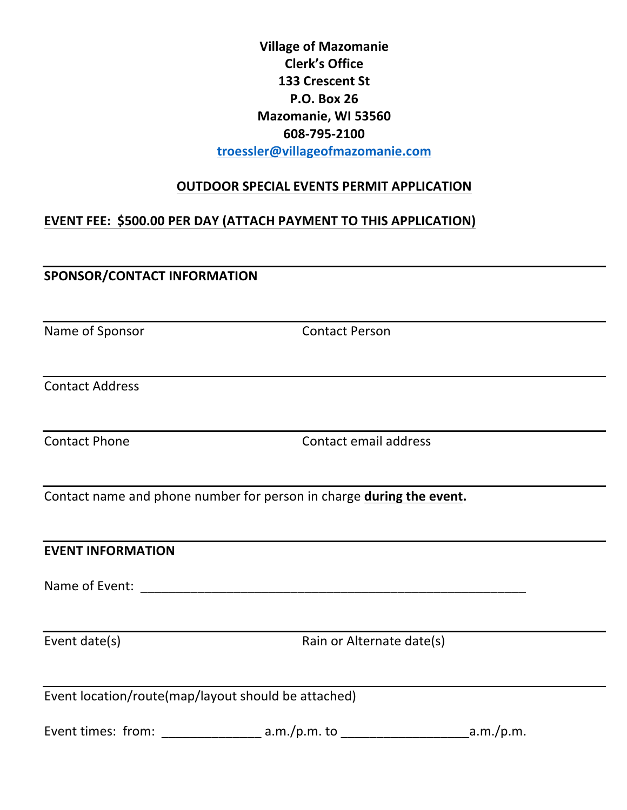# **Village of Mazomanie Clerk's Office 133 Crescent St P.O. Box 26 Mazomanie, WI 53560 608-795-2100 troessler@villageofmazomanie.com**

#### **OUTDOOR SPECIAL EVENTS PERMIT APPLICATION**

# **EVENT FEE: \$500.00 PER DAY (ATTACH PAYMENT TO THIS APPLICATION)**

# **SPONSOR/CONTACT INFORMATION**

Name of Sponsor Contact Person

Contact Address

Contact Phone Contact email address

Contact name and phone number for person in charge **during the event.** 

**EVENT INFORMATION** Name of Event: \_\_\_\_\_\_\_\_\_\_\_\_\_\_\_\_\_\_\_\_\_\_\_\_\_\_\_\_\_\_\_\_\_\_\_\_\_\_\_\_\_\_\_\_\_\_\_\_\_\_\_\_\_\_ Event date(s) example a control control at the Rain or Alternate date(s) Event  $location/route(map/layout should be attached)$ Event times: from: \_\_\_\_\_\_\_\_\_\_\_\_\_\_ a.m./p.m. to \_\_\_\_\_\_\_\_\_\_\_\_\_\_\_\_\_\_a.m./p.m.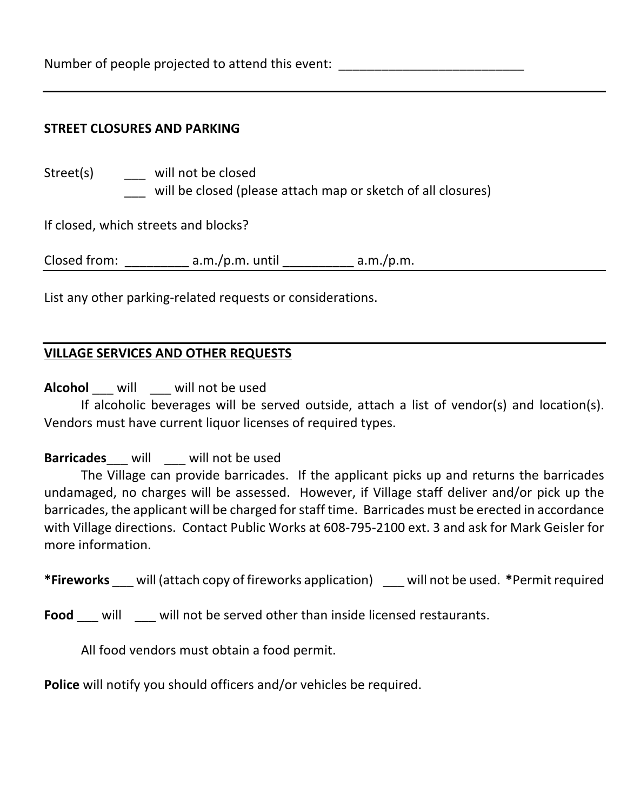Number of people projected to attend this event:

#### **STREET CLOSURES AND PARKING**

| Street(s)    | will not be closed<br>will be closed (please attach map or sketch of all closures) |           |
|--------------|------------------------------------------------------------------------------------|-----------|
|              | If closed, which streets and blocks?                                               |           |
| Closed from: | $a.m./p.m.$ until                                                                  | a.m./p.m. |

List any other parking-related requests or considerations.

### **VILLAGE SERVICES AND OTHER REQUESTS**

**Alcohol** will will not be used

If alcoholic beverages will be served outside, attach a list of vendor(s) and location(s). Vendors must have current liquor licenses of required types.

#### **Barricades\_\_\_** will \_\_\_ will not be used

The Village can provide barricades. If the applicant picks up and returns the barricades undamaged, no charges will be assessed. However, if Village staff deliver and/or pick up the barricades, the applicant will be charged for staff time. Barricades must be erected in accordance with Village directions. Contact Public Works at 608-795-2100 ext. 3 and ask for Mark Geisler for more information.

\*Fireworks will (attach copy of fireworks application) will not be used. \*Permit required

**Food** \_\_\_ will \_\_\_ will not be served other than inside licensed restaurants.

All food vendors must obtain a food permit.

**Police** will notify you should officers and/or vehicles be required.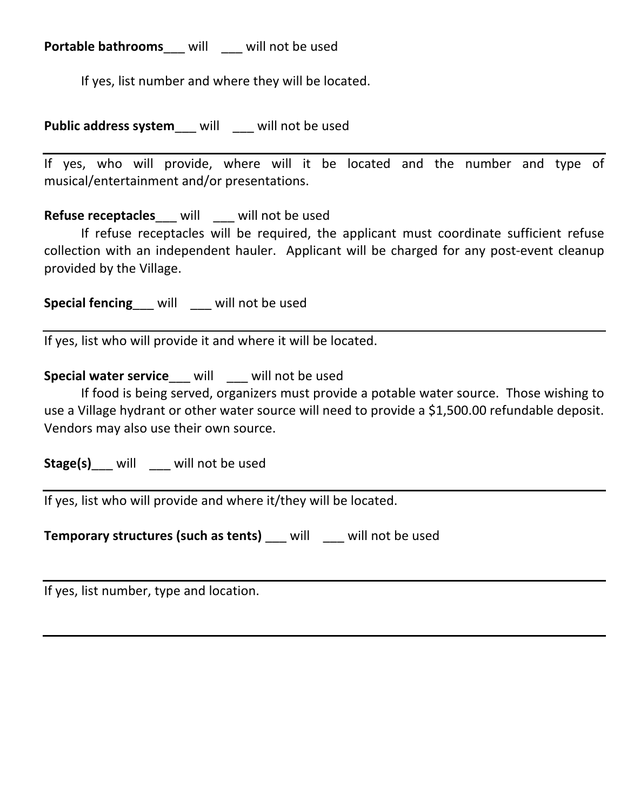**Portable bathrooms** will will not be used

If yes, list number and where they will be located.

**Public address system** will will not be used

If yes, who will provide, where will it be located and the number and type of musical/entertainment and/or presentations.

**Refuse receptacles** \_\_\_ will \_\_\_\_ will not be used

If refuse receptacles will be required, the applicant must coordinate sufficient refuse collection with an independent hauler. Applicant will be charged for any post-event cleanup provided by the Village.

**Special fencing** will will not be used

If yes, list who will provide it and where it will be located.

**Special water service** will will not be used

If food is being served, organizers must provide a potable water source. Those wishing to use a Village hydrant or other water source will need to provide a \$1,500.00 refundable deposit. Vendors may also use their own source.

**Stage(s)\_\_\_** will \_\_\_\_ will not be used

If yes, list who will provide and where it/they will be located.

**Temporary structures (such as tents)** will will not be used

If yes, list number, type and location.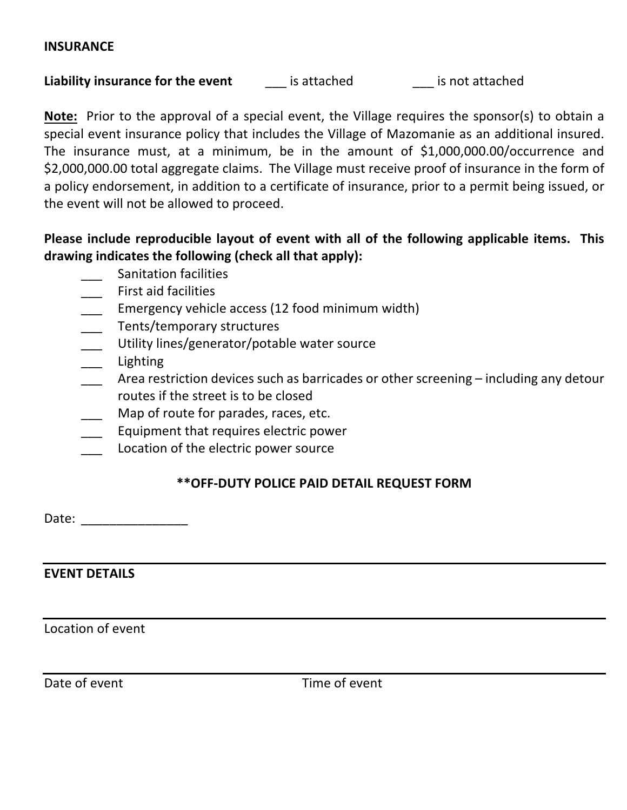#### **INSURANCE**

**Liability insurance for the event** is attached is not attached

**Note:** Prior to the approval of a special event, the Village requires the sponsor(s) to obtain a special event insurance policy that includes the Village of Mazomanie as an additional insured. The insurance must, at a minimum, be in the amount of  $$1,000,000.00/$ occurrence and \$2,000,000.00 total aggregate claims. The Village must receive proof of insurance in the form of a policy endorsement, in addition to a certificate of insurance, prior to a permit being issued, or the event will not be allowed to proceed.

# Please include reproducible layout of event with all of the following applicable items. This drawing indicates the following (check all that apply):

- Sanitation facilities
- First aid facilities
- Emergency vehicle access (12 food minimum width)
- Tents/temporary structures
- Utility lines/generator/potable water source
- \_\_\_ Lighting
- Area restriction devices such as barricades or other screening  $-$  including any detour routes if the street is to be closed
- Map of route for parades, races, etc.
- Equipment that requires electric power
- Location of the electric power source

### **\*\*OFF-DUTY POLICE PAID DETAIL REQUEST FORM**

Date: \_\_\_\_\_\_\_\_\_\_\_\_\_\_\_

### **EVENT DETAILS**

Location of event